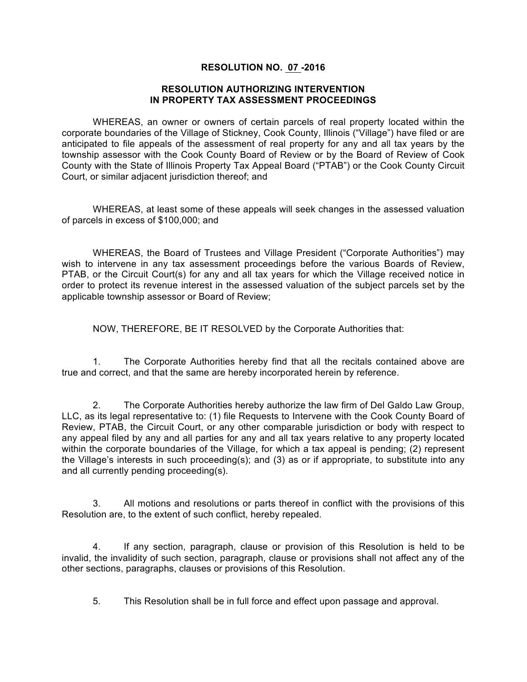## **RESOLUTION NO. 07 -2016**

## **RESOLUTION AUTHORIZING INTERVENTION IN PROPERTY TAX ASSESSMENT PROCEEDINGS**

WHEREAS, an owner or owners of certain parcels of real property located within the corporate boundaries of the Village of Stickney, Cook County, Illinois ("Village") have filed or are anticipated to file appeals of the assessment of real property for any and all tax years by the township assessor with the Cook County Board of Review or by the Board of Review of Cook County with the State of Illinois Property Tax Appeal Board ("PTAB") or the Cook County Circuit Court, or similar adjacent jurisdiction thereof; and

WHEREAS, at least some of these appeals will seek changes in the assessed valuation of parcels in excess of \$100,000; and

WHEREAS, the Board of Trustees and Village President ("Corporate Authorities") may wish to intervene in any tax assessment proceedings before the various Boards of Review, PTAB, or the Circuit Court(s) for any and all tax years for which the Village received notice in order to protect its revenue interest in the assessed valuation of the subject parcels set by the applicable township assessor or Board of Review;

NOW, THEREFORE, BE IT RESOLVED by the Corporate Authorities that:

1. The Corporate Authorities hereby find that all the recitals contained above are true and correct, and that the same are hereby incorporated herein by reference.

2. The Corporate Authorities hereby authorize the law firm of Del Galdo Law Group, LLC, as its legal representative to: (1) file Requests to Intervene with the Cook County Board of Review, PTAB, the Circuit Court, or any other comparable jurisdiction or body with respect to any appeal filed by any and all parties for any and all tax years relative to any property located within the corporate boundaries of the Village, for which a tax appeal is pending; (2) represent the Village's interests in such proceeding(s); and (3) as or if appropriate, to substitute into any and all currently pending proceeding(s).

3. All motions and resolutions or parts thereof in conflict with the provisions of this Resolution are, to the extent of such conflict, hereby repealed.

4. If any section, paragraph, clause or provision of this Resolution is held to be invalid, the invalidity of such section, paragraph, clause or provisions shall not affect any of the other sections, paragraphs, clauses or provisions of this Resolution.

5. This Resolution shall be in full force and effect upon passage and approval.